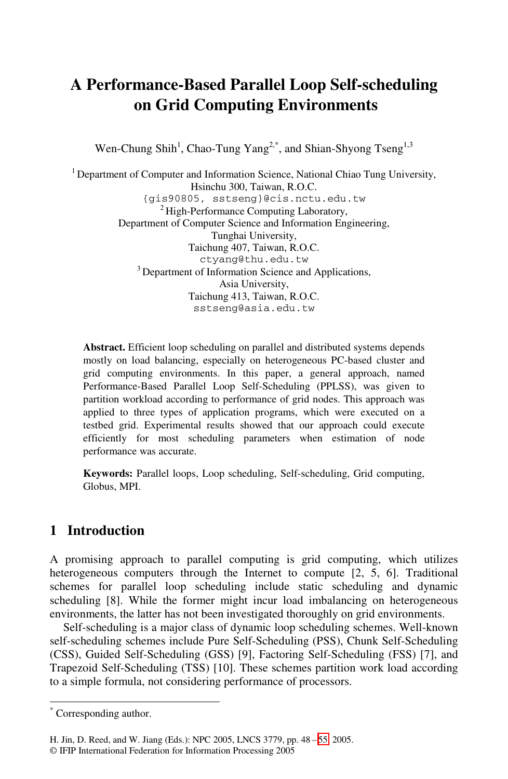# **A Performance-Based Parallel Loop Self-scheduling on Grid Computing Environments**

Wen-Chung Shih<sup>1</sup>, Chao-Tung Yang<sup>2,\*</sup>, and Shian-Shyong Tseng<sup>1,3</sup>

<sup>1</sup> Department of Computer and Information Science, National Chiao Tung University, Hsinchu 300, Taiwan, R.O.C. {gis90805, sstseng}@cis.nctu.edu.tw  $2$  High-Performance Computing Laboratory, Department of Computer Science and Information Engineering, Tunghai University, Taichung 407, Taiwan, R.O.C. ctyang@thu.edu.tw <sup>3</sup> Department of Information Science and Applications, Asia University, Taichung 413, Taiwan, R.O.C. sstseng@asia.edu.tw

**Abstract.** Efficient loop scheduling on parallel and distributed systems depends mostly on load balancing, especially on heterogeneous PC-based cluster and grid computing environments. In this paper, a general approach, named Performance-Based Parallel Loop Self-Scheduling (PPLSS), was given to partition workload according to performance of grid nodes. This approach was applied to three types of application programs, which were executed on a testbed grid. Experimental results showed that our approach could execute efficiently for most scheduling parameters when estimation of node performance was accurate.

**Keywords:** Parallel loops, Loop scheduling, Self-scheduling, Grid computing, Globus, MPI.

# **1 Introduction**

A promising approach to parallel computing is grid computing, which utilizes heterogeneous computers through the Internet to compute [2, 5, 6]. Traditional schemes for parallel loop scheduling include static scheduling and dynamic scheduling [8]. While the former might incur load imbalancing on heterogeneous environments, the latter has not been investigated thoroughly on grid environments.

Self-scheduling is a major class of dynamic loop scheduling schemes. Well-known self-scheduling schemes include Pu[re](#page-7-0) Self-Scheduling (PSS), Chunk Self-Scheduling (CSS), Guided Self-Scheduling (GSS) [9], Factoring Self-Scheduling (FSS) [7], and Trapezoid Self-Scheduling (TSS) [10]. These schemes partition work load according to a simple formula, not considering performance of processors.

 \* Corresponding author.

H. Jin, D. Reed, and W. Jiang (Eds.): NPC 2005, LNCS 3779, pp. 48 – 55, 2005.

<sup>©</sup> IFIP International Federation for Information Processing 2005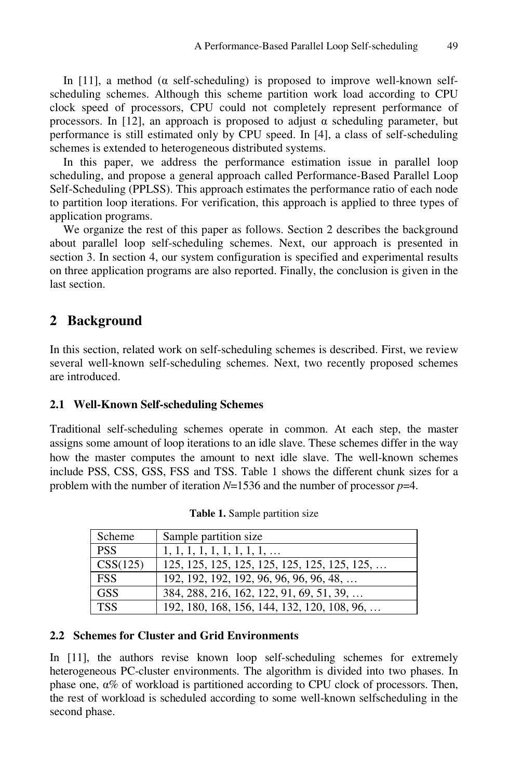In [11], a method ( $\alpha$  self-scheduling) is proposed to improve well-known selfscheduling schemes. Although this scheme partition work load according to CPU clock speed of processors, CPU could not completely represent performance of processors. In [12], an approach is proposed to adjust α scheduling parameter, but performance is still estimated only by CPU speed. In [4], a class of self-scheduling schemes is extended to heterogeneous distributed systems.

In this paper, we address the performance estimation issue in parallel loop scheduling, and propose a general approach called Performance-Based Parallel Loop Self-Scheduling (PPLSS). This approach estimates the performance ratio of each node to partition loop iterations. For verification, this approach is applied to three types of application programs.

We organize the rest of this paper as follows. Section 2 describes the background about parallel loop self-scheduling schemes. Next, our approach is presented in section 3. In section 4, our system configuration is specified and experimental results on three application programs are also reported. Finally, the conclusion is given in the last section.

### **2 Background**

In this section, related work on self-scheduling schemes is described. First, we review several well-known self-scheduling schemes. Next, two recently proposed schemes are introduced.

### **2.1 Well-Known Self-scheduling Schemes**

Traditional self-scheduling schemes operate in common. At each step, the master assigns some amount of loop iterations to an idle slave. These schemes differ in the way how the master computes the amount to next idle slave. The well-known schemes include PSS, CSS, GSS, FSS and TSS. Table 1 shows the different chunk sizes for a problem with the number of iteration *N*=1536 and the number of processor *p*=4.

| Scheme     | Sample partition size                       |
|------------|---------------------------------------------|
| <b>PSS</b> | $1, 1, 1, 1, 1, 1, 1, 1, 1, \ldots$         |
| CSS(125)   |                                             |
| <b>FSS</b> | 192, 192, 192, 192, 96, 96, 96, 96, 48,     |
| <b>GSS</b> | 384, 288, 216, 162, 122, 91, 69, 51, 39,    |
| <b>TSS</b> | 192, 180, 168, 156, 144, 132, 120, 108, 96, |

**Table 1.** Sample partition size

#### **2.2 Schemes for Cluster and Grid Environments**

In [11], the authors revise known loop self-scheduling schemes for extremely heterogeneous PC-cluster environments. The algorithm is divided into two phases. In phase one,  $\alpha$ % of workload is partitioned according to CPU clock of processors. Then, the rest of workload is scheduled according to some well-known selfscheduling in the second phase.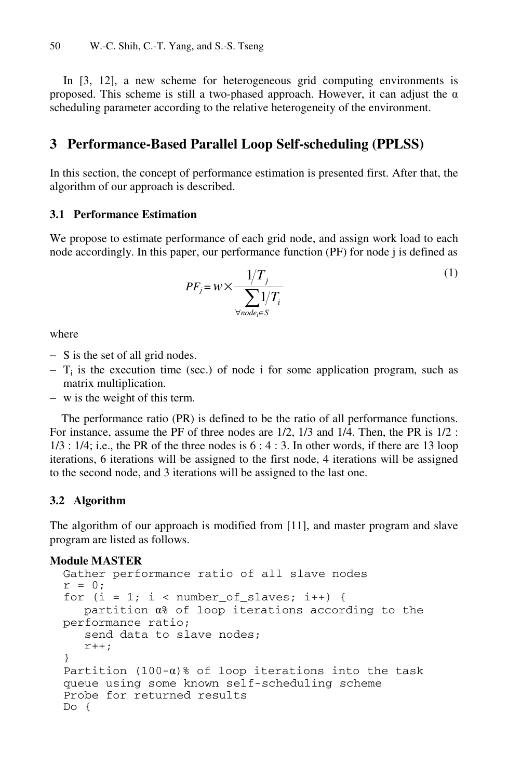In [3, 12], a new scheme for heterogeneous grid computing environments is proposed. This scheme is still a two-phased approach. However, it can adjust the  $\alpha$ scheduling parameter according to the relative heterogeneity of the environment.

## **3 Performance-Based Parallel Loop Self-scheduling (PPLSS)**

In this section, the concept of performance estimation is presented first. After that, the algorithm of our approach is described.

### **3.1 Performance Estimation**

We propose to estimate performance of each grid node, and assign work load to each node accordingly. In this paper, our performance function (PF) for node j is defined as

$$
PF_j = w \times \frac{1/T_j}{\sum_{\forall node_i \in S} 1/T_i}
$$
 (1)

where

- − S is the set of all grid nodes.
- $-$  T<sub>i</sub> is the execution time (sec.) of node i for some application program, such as matrix multiplication.
- − w is the weight of this term.

The performance ratio (PR) is defined to be the ratio of all performance functions. For instance, assume the PF of three nodes are 1/2, 1/3 and 1/4. Then, the PR is 1/2 :  $1/3$ :  $1/4$ ; i.e., the PR of the three nodes is  $6: 4:3$ . In other words, if there are 13 loop iterations, 6 iterations will be assigned to the first node, 4 iterations will be assigned to the second node, and 3 iterations will be assigned to the last one.

### **3.2 Algorithm**

The algorithm of our approach is modified from [11], and master program and slave program are listed as follows.

### **Module MASTER**

```
Gather performance ratio of all slave nodes 
r = 0;for (i = 1; i < number_of_slaves; i++) {
    partition α% of loop iterations according to the 
performance ratio; 
    send data to slave nodes; 
   r++;} 
Partition (100-\alpha)% of loop iterations into the task
queue using some known self-scheduling scheme 
Probe for returned results 
Do {
```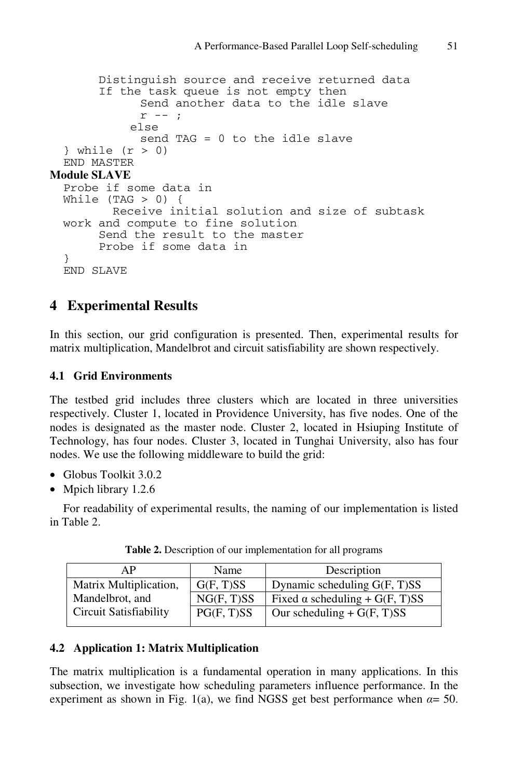```
 Distinguish source and receive returned data 
        If the task queue is not empty then 
              Send another data to the idle slave 
             r --;
             else 
              send TAG = 0 to the idle slave 
  } while (r > 0)END MASTER 
Module SLAVE
  Probe if some data in 
  While (TAG > 0) {
          Receive initial solution and size of subtask 
  work and compute to fine solution 
        Send the result to the master 
        Probe if some data in 
  } 
  END SLAVE
```
# **4 Experimental Results**

In this section, our grid configuration is presented. Then, experimental results for matrix multiplication, Mandelbrot and circuit satisfiability are shown respectively.

### **4.1 Grid Environments**

The testbed grid includes three clusters which are located in three universities respectively. Cluster 1, located in Providence University, has five nodes. One of the nodes is designated as the master node. Cluster 2, located in Hsiuping Institute of Technology, has four nodes. Cluster 3, located in Tunghai University, also has four nodes. We use the following middleware to build the grid:

- Globus Toolkit 3.0.2
- Mpich library 1.2.6

For readability of experimental results, the naming of our implementation is listed in Table 2.

| ΑP                     | Name       | Description                           |
|------------------------|------------|---------------------------------------|
| Matrix Multiplication, | G(F, T)SS  | Dynamic scheduling G(F, T)SS          |
| Mandelbrot, and        | NG(F, T)SS | Fixed $\alpha$ scheduling + G(F, T)SS |
| Circuit Satisfiability | PG(F, T)SS | Our scheduling + $G(F, T)SS$          |

**Table 2.** Description of our implementation for all programs

### **4.2 Application 1: Matrix Multiplication**

The matrix multiplication is a fundamental operation in many applications. In this subsection, we investigate how scheduling parameters influence performance. In the experiment as shown in Fig. 1(a), we find NGSS get best performance when  $\alpha = 50$ .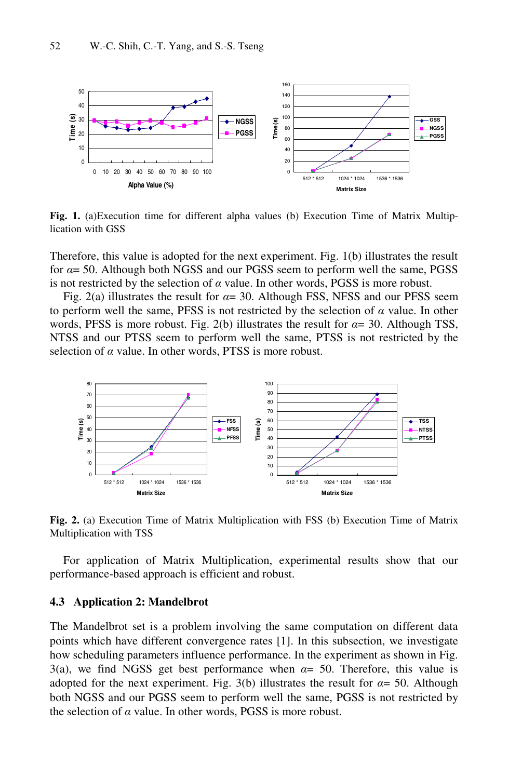

**Fig. 1.** (a)Execution time for different alpha values (b) Execution Time of Matrix Multiplication with GSS

Therefore, this value is adopted for the next experiment. Fig. 1(b) illustrates the result for *α*= 50. Although both NGSS and our PGSS seem to perform well the same, PGSS is not restricted by the selection of  $\alpha$  value. In other words, PGSS is more robust.

Fig. 2(a) illustrates the result for *α*= 30. Although FSS, NFSS and our PFSS seem to perform well the same, PFSS is not restricted by the selection of *α* value. In other words, PFSS is more robust. Fig. 2(b) illustrates the result for *α*= 30. Although TSS, NTSS and our PTSS seem to perform well the same, PTSS is not restricted by the selection of *α* value. In other words, PTSS is more robust.



**Fig. 2.** (a) Execution Time of Matrix Multiplication with FSS (b) Execution Time of Matrix Multiplication with TSS

For application of Matrix Multiplication, experimental results show that our performance-based approach is efficient and robust.

#### **4.3 Application 2: Mandelbrot**

The Mandelbrot set is a problem involving the same computation on different data points which have different convergence rates [1]. In this subsection, we investigate how scheduling parameters influence performance. In the experiment as shown in Fig. 3(a), we find NGSS get best performance when *α*= 50. Therefore, this value is adopted for the next experiment. Fig. 3(b) illustrates the result for  $\alpha = 50$ . Although both NGSS and our PGSS seem to perform well the same, PGSS is not restricted by the selection of *α* value. In other words, PGSS is more robust.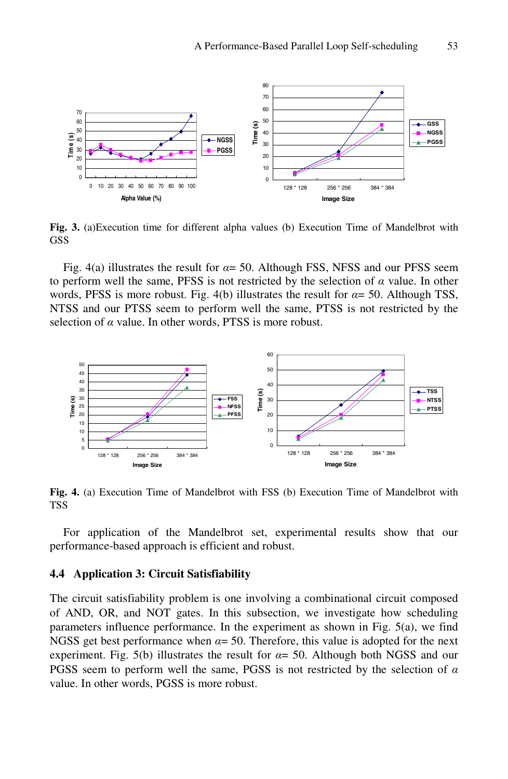

**Fig. 3.** (a)Execution time for different alpha values (b) Execution Time of Mandelbrot with GSS

Fig. 4(a) illustrates the result for  $\alpha$  = 50. Although FSS, NFSS and our PFSS seem to perform well the same, PFSS is not restricted by the selection of *α* value. In other words, PFSS is more robust. Fig. 4(b) illustrates the result for  $\alpha$ = 50. Although TSS, NTSS and our PTSS seem to perform well the same, PTSS is not restricted by the selection of *α* value. In other words, PTSS is more robust.



**Fig. 4.** (a) Execution Time of Mandelbrot with FSS (b) Execution Time of Mandelbrot with TSS

For application of the Mandelbrot set, experimental results show that our performance-based approach is efficient and robust.

#### **4.4 Application 3: Circuit Satisfiability**

The circuit satisfiability problem is one involving a combinational circuit composed of AND, OR, and NOT gates. In this subsection, we investigate how scheduling parameters influence performance. In the experiment as shown in Fig. 5(a), we find NGSS get best performance when  $\alpha = 50$ . Therefore, this value is adopted for the next experiment. Fig. 5(b) illustrates the result for  $\alpha$ = 50. Although both NGSS and our PGSS seem to perform well the same, PGSS is not restricted by the selection of *α* value. In other words, PGSS is more robust.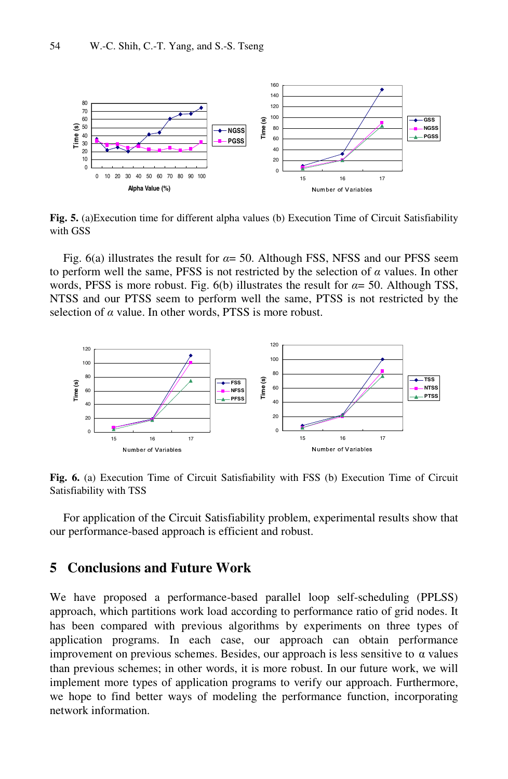

**Fig. 5.** (a)Execution time for different alpha values (b) Execution Time of Circuit Satisfiability with GSS

Fig. 6(a) illustrates the result for  $\alpha$  = 50. Although FSS, NFSS and our PFSS seem to perform well the same, PFSS is not restricted by the selection of *α* values. In other words, PFSS is more robust. Fig. 6(b) illustrates the result for  $\alpha$ = 50. Although TSS, NTSS and our PTSS seem to perform well the same, PTSS is not restricted by the selection of *α* value. In other words, PTSS is more robust.



**Fig. 6.** (a) Execution Time of Circuit Satisfiability with FSS (b) Execution Time of Circuit Satisfiability with TSS

For application of the Circuit Satisfiability problem, experimental results show that our performance-based approach is efficient and robust.

### **5 Conclusions and Future Work**

We have proposed a performance-based parallel loop self-scheduling (PPLSS) approach, which partitions work load according to performance ratio of grid nodes. It has been compared with previous algorithms by experiments on three types of application programs. In each case, our approach can obtain performance improvement on previous schemes. Besides, our approach is less sensitive to  $\alpha$  values than previous schemes; in other words, it is more robust. In our future work, we will implement more types of application programs to verify our approach. Furthermore, we hope to find better ways of modeling the performance function, incorporating network information.